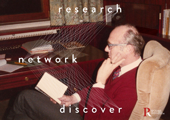